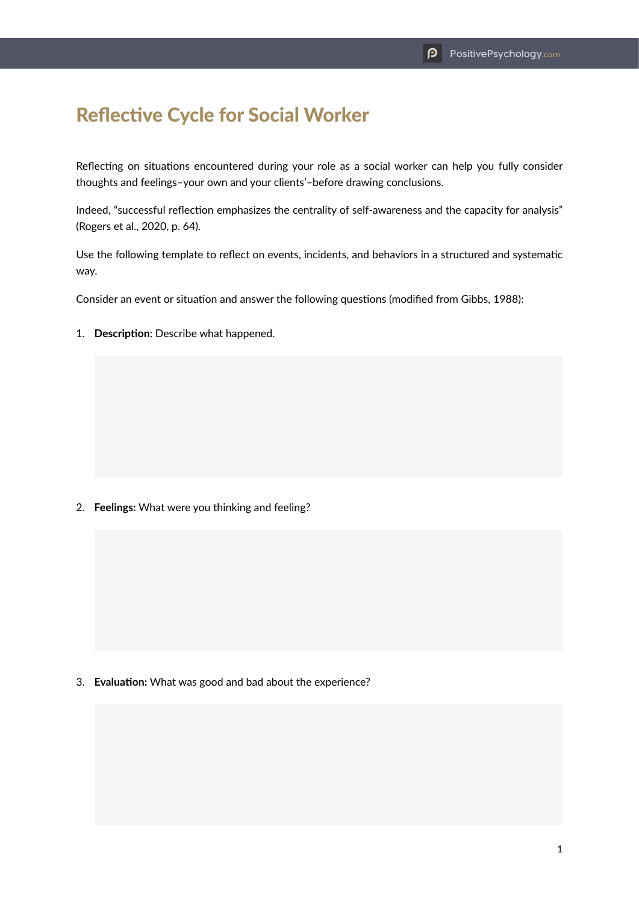## Reflective Cycle for Social Worker

Reflecting on situations encountered during your role as a social worker can help you fully consider thoughts and feelings–your own and your clients'–before drawing conclusions.

Indeed, "successful reflection emphasizes the centrality of self-awareness and the capacity for analysis" (Rogers et al., 2020, p. 64).

Use the following template to reflect on events, incidents, and behaviors in a structured and systematic way.

Consider an event or situation and answer the following questions (modified from Gibbs, 1988):

1. **Description**: Describe what happened.

2. **Feelings:** What were you thinking and feeling?

3. **Evaluation:** What was good and bad about the experience?